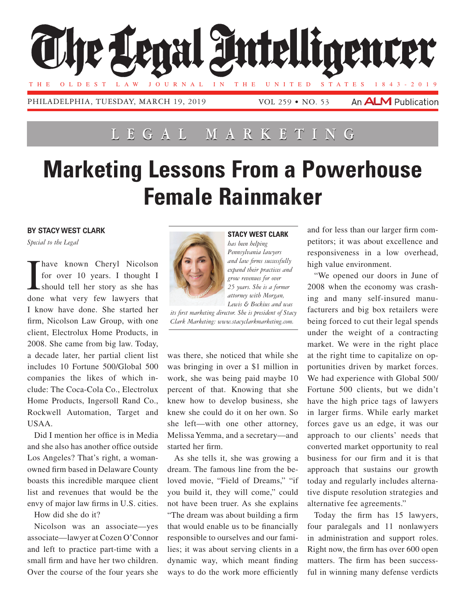

## **Lega l Marketing**

## **Marketing Lessons From a Powerhouse Female Rainmaker**

## **By Stacy West Clark**

*Special to the Legal*

I have known Cheryl Nicolson for over 10 years. I thought I should tell her story as she has done what very few lawyers that I know have done. She started her firm, Nicolson Law Group, with one client, Electrolux Home Products, in 2008. She came from big law. Today, a decade later, her partial client list includes 10 Fortune 500/Global 500 companies the likes of which include: The Coca-Cola Co., Electrolux Home Products, Ingersoll Rand Co., Rockwell Automation, Target and USAA.

Did I mention her office is in Media and she also has another office outside Los Angeles? That's right, a womanowned firm based in Delaware County boasts this incredible marquee client list and revenues that would be the envy of major law firms in U.S. cities.

How did she do it?

Nicolson was an associate—yes associate—lawyer at Cozen O'Connor and left to practice part-time with a small firm and have her two children. Over the course of the four years she



**Stacy West Clark** *has been helping* 

*Pennsylvania lawyers and law firms successfully expand their practices and grow revenues for over 25 years. She is a former attorney with Morgan,* 

*Lewis & Bockius and was its first marketing director. She is president of Stacy Clark Marketing: www.stacyclarkmarketing.com.*

was there, she noticed that while she was bringing in over a \$1 million in work, she was being paid maybe 10 percent of that. Knowing that she knew how to develop business, she knew she could do it on her own. So she left—with one other attorney, Melissa Yemma, and a secretary—and started her firm.

As she tells it, she was growing a dream. The famous line from the beloved movie, "Field of Dreams," "if you build it, they will come," could not have been truer. As she explains "The dream was about building a firm that would enable us to be financially responsible to ourselves and our families; it was about serving clients in a dynamic way, which meant finding ways to do the work more efficiently and for less than our larger firm competitors; it was about excellence and responsiveness in a low overhead, high value environment.

"We opened our doors in June of 2008 when the economy was crashing and many self-insured manufacturers and big box retailers were being forced to cut their legal spends under the weight of a contracting market. We were in the right place at the right time to capitalize on opportunities driven by market forces. We had experience with Global 500/ Fortune 500 clients, but we didn't have the high price tags of lawyers in larger firms. While early market forces gave us an edge, it was our approach to our clients' needs that converted market opportunity to real business for our firm and it is that approach that sustains our growth today and regularly includes alternative dispute resolution strategies and alternative fee agreements."

Today the firm has 15 lawyers, four paralegals and 11 nonlawyers in administration and support roles. Right now, the firm has over 600 open matters. The firm has been successful in winning many defense verdicts